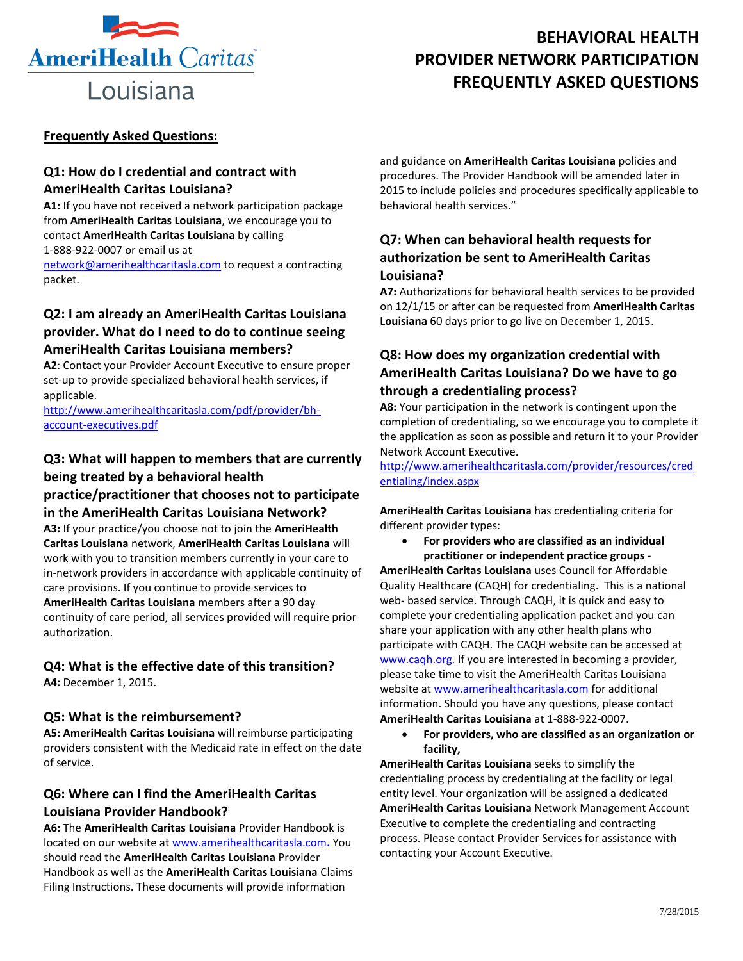

# **BEHAVIORAL HEALTH PROVIDER NETWORK PARTICIPATION FREQUENTLY ASKED QUESTIONS**

#### **Frequently Asked Questions:**

#### **Q1: How do I credential and contract with AmeriHealth Caritas Louisiana?**

**A1:** If you have not received a network participation package from **AmeriHealth Caritas Louisiana**, we encourage you to contact **AmeriHealth Caritas Louisiana** by calling 1-888-922-0007 or email us at

[network@amerihealthcaritasla.com](mailto:network@amerihealthcaritasla.com) to request a contracting packet.

# **Q2: I am already an AmeriHealth Caritas Louisiana provider. What do I need to do to continue seeing AmeriHealth Caritas Louisiana members?**

**A2**: Contact your Provider Account Executive to ensure proper set-up to provide specialized behavioral health services, if applicable.

[http://www.amerihealthcaritasla.com/pdf/provider/bh](http://www.amerihealthcaritasla.com/pdf/provider/bh-account-executives.pdf)[account-executives.pdf](http://www.amerihealthcaritasla.com/pdf/provider/bh-account-executives.pdf) 

# **Q3: What will happen to members that are currently being treated by a behavioral health**

**practice/practitioner that chooses not to participate in the AmeriHealth Caritas Louisiana Network?** 

**A3:** If your practice/you choose not to join the **AmeriHealth Caritas Louisiana** network, **AmeriHealth Caritas Louisiana** will work with you to transition members currently in your care to in-network providers in accordance with applicable continuity of care provisions. If you continue to provide services to **AmeriHealth Caritas Louisiana** members after a 90 day continuity of care period, all services provided will require prior authorization.

# **Q4: What is the effective date of this transition?**

**A4:** December 1, 2015.

#### **Q5: What is the reimbursement?**

**A5: AmeriHealth Caritas Louisiana** will reimburse participating providers consistent with the Medicaid rate in effect on the date of service.

# **Q6: Where can I find the AmeriHealth Caritas Louisiana Provider Handbook?**

**A6:** The **AmeriHealth Caritas Louisiana** Provider Handbook is located on our website at www.amerihealthcaritasla.com**.** You should read the **AmeriHealth Caritas Louisiana** Provider Handbook as well as the **AmeriHealth Caritas Louisiana** Claims Filing Instructions. These documents will provide information

and guidance on **AmeriHealth Caritas Louisiana** policies and procedures. The Provider Handbook will be amended later in 2015 to include policies and procedures specifically applicable to behavioral health services."

### **Q7: When can behavioral health requests for authorization be sent to AmeriHealth Caritas Louisiana?**

**A7:** Authorizations for behavioral health services to be provided on 12/1/15 or after can be requested from **AmeriHealth Caritas Louisiana** 60 days prior to go live on December 1, 2015.

# **Q8: How does my organization credential with AmeriHealth Caritas Louisiana? Do we have to go through a credentialing process?**

**A8:** Your participation in the network is contingent upon the completion of credentialing, so we encourage you to complete it the application as soon as possible and return it to your Provider Network Account Executive.

[http://www.amerihealthcaritasla.com/provider/resources/cred](http://www.amerihealthcaritasla.com/provider/resources/credentialing/index.aspx) [entialing/index.aspx](http://www.amerihealthcaritasla.com/provider/resources/credentialing/index.aspx)

**AmeriHealth Caritas Louisiana** has credentialing criteria for different provider types:

 **For providers who are classified as an individual practitioner or independent practice groups** -

**AmeriHealth Caritas Louisiana** uses Council for Affordable Quality Healthcare (CAQH) for credentialing. This is a national web- based service. Through CAQH, it is quick and easy to complete your credentialing application packet and you can share your application with any other health plans who participate with CAQH. The CAQH website can be accessed at www.caqh.org. If you are interested in becoming a provider, please take time to visit the AmeriHealth Caritas Louisiana website at www.amerihealthcaritasla.com for additional information. Should you have any questions, please contact **AmeriHealth Caritas Louisiana** at 1-888-922-0007.

 **For providers, who are classified as an organization or facility,** 

**AmeriHealth Caritas Louisiana** seeks to simplify the credentialing process by credentialing at the facility or legal entity level. Your organization will be assigned a dedicated **AmeriHealth Caritas Louisiana** Network Management Account Executive to complete the credentialing and contracting process. Please contact Provider Services for assistance with contacting your Account Executive.